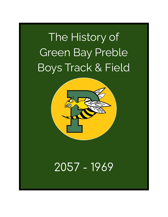# The History of Green Bay Preble Boys Track & Field



# 2057 - 1969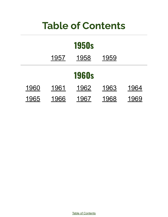# **Table of Contents**

<span id="page-1-0"></span>

| <b>1950s</b> |      |      |      |      |
|--------------|------|------|------|------|
|              | 1957 | 1958 | 1959 |      |
| <b>1960s</b> |      |      |      |      |
| 1960         | 1961 | 1962 | 1963 | 1964 |
| 1965         | 1966 | 1967 | 1968 | 1969 |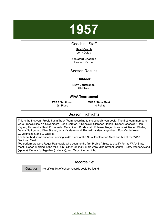## <span id="page-2-0"></span>Coaching Staff

#### **Head Coach** Jerry Dufek

**Assistant Coaches** Leonard Kazner

Season Results

## **Outdoor**

**NEW Conference** 4th Place

#### **WIAA Tournament**

**WIAA Sectional** 5th Place

**WIAA State Meet** 0 Points

# Season Highlights

This is the first year Preble has a Track Team according to the school's yearbook. The first team members were Francis Bins, W. Cayemberg, Leon Corsten, A Danelski, Clarence Hanold, Roger Heesacker, Ron Keyser, Thomas LaPlant, D. Laurelle, Gary Libert, D. Matczak, P. Naze, Roger Roznowski, Robert Shaha, Dennis Splitgerber, Mike Strebel, larry VandenAvond, Ronald VandenLangenberg, Ron VanderKelen, G. Veldhuizen, and J. Wallace.

The team had some success finishing in 4th place at the NEW Conference Meet and 5th at the WIAA Sectional Meet.

Top performers were Roger Roznowski who became the first Preble Athlete to qualify for the WIAA State Meet. Roger qualified in the Mile Run. Other top individuals were Mike Strebel (sprints), Larry VandenAvond (sprints), Dennis Splitzgerber (distance), and Gary Libert (spints).

# Records Set

| Outdoor |  |
|---------|--|
|         |  |

No official list of school records could be found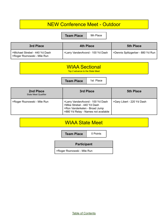**Team Place** 9th Place

| 3rd Place                                                        | <b>4th Place</b>                 | <b>5th Place</b>                  |
|------------------------------------------------------------------|----------------------------------|-----------------------------------|
| >Michael Strebel - 440 Yd Dash<br>  > Roger Roznowski - Mile Run | >Larry VandenAvond - 100 Yd Dash | >Dennis Splitzgerber - 880 Yd Run |

# WIAA Sectional

Top 2 advance to the State Meet

**Team Place** | 1st Place

| 2nd Place<br><b>State Meet Qualifier</b> | 3rd Place                                                                                                                               | <b>5th Place</b>           |
|------------------------------------------|-----------------------------------------------------------------------------------------------------------------------------------------|----------------------------|
| >Roger Roznowski - Mile Run              | >Larry VandenAvond - 100 Yd Dash<br>>Mike Strebel - 440 Yd Dash<br>>Ron Vanderkelen - Broad Jump<br>>880 Yd Relay - Names not available | >Gary Libert - 220 Yd Dash |

# WIAA State Meet

**Team Place** | 0 Points

## **Participant**

>Roger Roznowski - Mile Run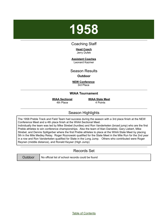## <span id="page-4-0"></span>Coaching Staff

#### **Head Coach** Jerry Dufek

**Assistant Coaches** Leonard Kazmer

Season Results

#### **Outdoor**

**NEW Conference** 3rd Place

### **WIAA Tournament**

**WIAA Sectional** 4th Place

**WIAA State Meet** 4 Points

# Season Highlights

The 1958 Preble Track and Field Team had success during the season with a 3rd place finish at the NEW Conference Meet and a 4th place finish at the WIAA Sectional Meet. Individually the team was led by Mike Strebel (hurdles) and Ron Vanderkelen (broad jump) who are the first

Preble athletes to win conference championships. Also the team of Alan Danielski, Gary Liebert, Mike Strebel, and Dennis Splitgerber where the first Preble athletes to place at the WIAA State Meet by placing 5th in the Mile Medley Relay. Roger Roznowski qualified for the State Meet in the Mile Run for the 2nd year in a row and Ron Vanderkelen qualified for State in the Long Jump. Others who contributed were Roger Reynen (middle distance), and Ronald Keyser (High Jump)

# Records Set

Outdoor | No official list of school records could be found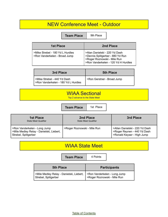**Team Place** 9th Place

| )th Placա |  |  |
|-----------|--|--|
|           |  |  |

| <b>1st Place</b>                                                  | 2nd Place                                                                                                                               |
|-------------------------------------------------------------------|-----------------------------------------------------------------------------------------------------------------------------------------|
| >Mike Strebel - 180 Yd L Hurdles<br>>Ron Vanderkelen - Broad Jump | >Alan Danielski - 220 Yd Dash<br>>Dennis Splitgerber - 880 Yd Run<br>>Roger Roznowski - Mile Run<br>>Ron Vanderkelen - 120 Yd H Hurdles |

| 3rd Place                                                              | <b>5th Place</b>           |
|------------------------------------------------------------------------|----------------------------|
| l >Mike Strebel - 440 Yd Dash<br>  >Ron Vanderkelen - 180 Yd L Hurdles | >Ron Gerstner - Broad Jump |

# WIAA Sectional

Top 2 advance to the State Meet

**Team Place** | 1st Place

| <b>1st Place</b><br><b>State Meet Qualifier</b>                                                  | 2nd Place<br><b>State Meet Qualifier</b> | 3rd Place                                                                                   |
|--------------------------------------------------------------------------------------------------|------------------------------------------|---------------------------------------------------------------------------------------------|
| >Ron Vanderkelen - Long Jump<br>>Mile Medley Relay - Danielski, Liebert,<br>Strebel, Splitgerber | >Roger Roznowski - Mile Run              | >Allan Danielski - 220 Yd Dash<br>>Roger Reynen - 440 Yd Dash<br>>Ronald Keyser - High Jump |

# WIAA State Meet

**Team Place** 4 Points

| <b>5th Place</b>                                                 | <b>Participants</b>                                         |
|------------------------------------------------------------------|-------------------------------------------------------------|
| >Mile Medley Relay - Danielski, Liebert,<br>Strebel, Splitgerber | >Ron Vanderkelen - Long Jump<br>>Roger Roznowski - Mile Run |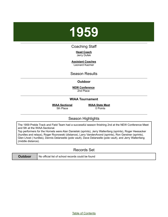# <span id="page-6-0"></span>Coaching Staff

**Head Coach** Jerry Dufek

**Assistant Coaches** Leonard Kazmer

# Season Results

### **Outdoor**

**NEW Conference** 2nd Place

## **WIAA Tournament**

**WIAA Sectional**

5th Place

**WIAA State Meet** 0 Points

# Season Highlights

The 1959 Preble Track and Field Team had a successful season finishing 2nd at the NEW Conference Meet and 5th at the WIAA Sectional.

Top performers for the Hornets were Alan Danielski (sprints), Jerry Wallenfang (sprints), Roger Heesacker (hurdles and relays), Roger Roznowski (distance), Larry VandenAvond (sprints), Ron Gerstner (sprints), Glen Lhost ( hurdles), Dennis Delarwelle (pole vault), Dave Delarwelle (pole vault), and Jerry Wallenfang (middle distance).

# Records Set

| <b>Outdoor</b> | No official list of school records could be found |
|----------------|---------------------------------------------------|
|----------------|---------------------------------------------------|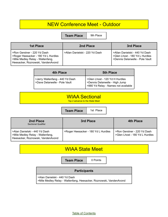**Team Place** | 9th Place

| <b>1st Place</b>                                                                                                                             | 2nd Place                      | 3rd Place                                                                                           |
|----------------------------------------------------------------------------------------------------------------------------------------------|--------------------------------|-----------------------------------------------------------------------------------------------------|
| >Ron Gerstner - 220 Yd Dash<br>Sologer Heesacker - 180 Yd L Hurdles<br>>Mile Medley Relay - Wallenfang,<br>Heesacker, Roznowski, VandenAvond | >Allan Danielski - 220 Yd Dash | >Allan Danielski - 440 Yd Dash<br>>Glen Lhost - 180 Yd L Hurdles<br>>Dennis Delarwelle - Pole Vault |

| <b>4th Place</b>                                                 | <b>5th Place</b>                                                                                        |
|------------------------------------------------------------------|---------------------------------------------------------------------------------------------------------|
| >Jerry Wallenfang - 440 Yd Dash<br>>Dave Delarwelle - Pole Vault | >Glen Lhost - 120 Yd H Hurdles<br>>Dennis Delarwelle - High Jump<br>>880 Yd Relay - Names not available |

# WIAA Sectional

Top 2 advance to the State Meet

**Team Place** | 1st Place

| 2nd Place<br>Sectional Qualifier                                                                       | 3rd Place                           | 4th Place                                                     |
|--------------------------------------------------------------------------------------------------------|-------------------------------------|---------------------------------------------------------------|
| >Alan Danielski - 440 Yd Dash<br>SMile Medley Relay - Wallenfang,<br>Heesacker, Roznowski, VandenAvond | >Roger Heesacker - 180 Yd L Hurdles | >Ron Gerstner - 220 Yd Dash<br>>Glen Lhost - 180 Yd L Hurdles |

# WIAA State Meet

**Team Place** | 0 Points

## **Participants**

>Alan Danielski - 440 Yd Dash

>Mile Medley Relay - Wallenfang, Heesacker, Roznowski, VandenAvond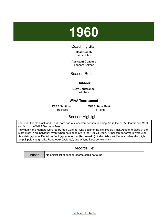# <span id="page-8-0"></span>Coaching Staff

**Head Coach** Jerry Dufek

**Assistant Coaches** Leonard Kazner

Season Results

## **Outdoor**

**NEW Conference** 3rd Place

## **WIAA Tournament**

**WIAA Sectional** 3rd Place

**WIAA State Meet** 4 Points

Season Highlights

The 1960 Preble Track and Field Team had a successful season finishing 3rd in the NEW Conference Meet and 3rd in the WIAA Sectional Meet.

Individually the Hornets were led by Ron Gerstner who became the first Preble Track Athlete to place at the State Meet in an individual event when he placed 5th in the 100 Yd Dash. Other top performers were Alan Danielski (sprints), Daniel LaPlant (sprints), Arther Karczewski (middle distance), Dennis Delaurelle (high jump & pole vault), Mike Routheaux (weights), and Wayne Destree (weights).

# Records Set

|--|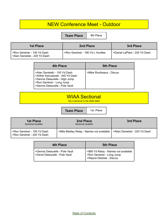**Team Place** 9th Place

| 1st Place                                                        | 2nd Place                                     | 3rd Place                     |
|------------------------------------------------------------------|-----------------------------------------------|-------------------------------|
| I >Ron Gerstner - 100 Yd Dash<br>  >Alan Danielski - 220 Yd Dash | <sup>1</sup> >Ron Gerstner - 180 Yd L Hurdles | >Daniel LaPlant - 220 Yd Dash |

| 4th Place                                                                                                                                                           | <b>5th Place</b>         |
|---------------------------------------------------------------------------------------------------------------------------------------------------------------------|--------------------------|
| >Alan Danielski - 100 Yd Dash<br>>Arther Karczewski - 440 Yd Dash<br>>Dennis Delaurelle - High Jump<br>>Ron Gerstner - Long Jump<br>>Dennis Delaurelle - Pole Vault | >Mike Routheaux - Discus |

| <b>WIAA Sectional</b>                  |
|----------------------------------------|
| <b>Top 2 advance to the State Meet</b> |

**Team Place** | 1st Place

| <b>1st Place</b><br><b>Sectional Qualifier</b>             | 2nd Place<br><b>Sectional Qualifier</b>  | 3rd Place                      |
|------------------------------------------------------------|------------------------------------------|--------------------------------|
| >Ron Gerstner - 100 Yd Dash<br>>Ron Gerstner - 220 Yd Dash | >Mile Medley Relay - Names not available | >Allan Danielski - 220 Yd Dash |

| 4th Place                       | <b>5th Place</b>                                     |
|---------------------------------|------------------------------------------------------|
| >Dennis Delaurelle - Pole Vault | >880 Yd Relay - Names not available                  |
| >David Delaurelle - Pole Vault  | >Ron Gerstner - Long Jump<br>>Wayne Destree - Discus |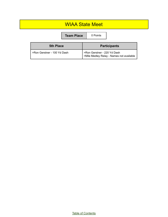# WIAA State Meet

|                             | <b>Team Place</b> |  | 0 Points                    |                                          |
|-----------------------------|-------------------|--|-----------------------------|------------------------------------------|
| <b>5th Place</b>            |                   |  |                             | <b>Participants</b>                      |
| >Ron Gerstner - 100 Yd Dash |                   |  | >Ron Gerstner - 220 Yd Dash | >Mile Medley Relay - Names not available |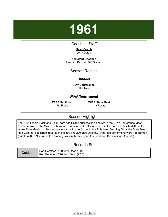# <span id="page-11-0"></span>Coaching Staff

**Head Coach** Jerry Dufek

**Assistant Coaches** Leonard Kazmer, Bill Sinclair

Season Results

**Outdoor**

**NEW Conference** 5th Place

### **WIAA Tournament**

**WIAA Sectional** 7th Place

**WIAA State Meet** 9 Points

# Season Highlights

The 1961 Preble Track and Field Team had limited success finishing 5th in the NEW Conference Meet. The team was led by Mike Routheax who dominated the Discus Throw in the area and finished 4th at the WIAA State Meet. Jim McKanna was also a top performer in the Pole Vault finishing 5th at the State Meet. Ron Gerstner set school records in the 100 and 220 Yard Dashes. Other top performers were Tim Berken (hurdles), Ken Noel (middle distance), William Mistele (hurdles), and Ron Buerschinger (sprints).

## Records Set

| Outdoor | Ron Gerstner - 100 Yard Dash (9.9)<br>Ron Gerstner - 220 Yard Dash (22.5) |
|---------|---------------------------------------------------------------------------|
|---------|---------------------------------------------------------------------------|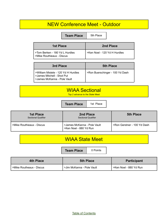**Team Place** 5th Place

| 5th. |  | л | Ρю |
|------|--|---|----|
|      |  |   |    |

| 1st Place                                                   | 2nd Place                    |
|-------------------------------------------------------------|------------------------------|
| >Tom Berken - 180 Yd L Hurdles<br>>Mike Routhieaux - Discus | >Ken Noel - 120 Yd H Hurdles |

| 3rd Place                                                                                        | <b>5th Place</b>                |
|--------------------------------------------------------------------------------------------------|---------------------------------|
| >William Mistele - 120 Yd H Hurdles<br>>James Mitchell - Shot Put<br>>James McKanna - Pole Vault | >Ron Buerschinger - 100 Yd Dash |

# WIAA Sectional

Top 2 advance to the State Meet

**Team Place** | 1st Place

| <b>1st Place</b><br>Sectional Qualifier | 2nd Place<br><b>Sectional Qualifier</b>               | <b>5th Place</b>            |
|-----------------------------------------|-------------------------------------------------------|-----------------------------|
| >Mike Routhieaux - Discus               | >James McKanna - Pole Vault<br>>Ken Noel - 880 Yd Run | >Ron Gerstner - 100 Yd Dash |

| <b>WIAA State Meet</b> |  |
|------------------------|--|
|                        |  |

**Team Place** | 0 Points

| 4th Place                | <b>5th Place</b>          | Participant            |
|--------------------------|---------------------------|------------------------|
| >Mike Routheaux - Discus | >Jim McKanna - Pole Vault | >Ken Noel - 880 Yd Run |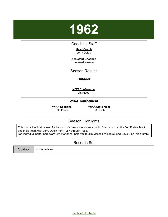<span id="page-13-0"></span>

## Coaching Staff

**Head Coach** Jerry Dufek

**Assistant Coaches** Leonard Kazmer

Season Results

**Outdoor**

**NEW Conference** 9th Place

### **WIAA Tournament**

**WIAA Sectional** 7th Place

**WIAA State Meet** 0 Points

# Season Highlights

This marks the final season for Leonard Kazmer as assistant coach. "Kaz" coached the first Preble Track and Field Team with Jerry Dufek from 1957 through 1962. Top individual performers were Jim McKanna (pole vault), Jim Mitchell (weights), and Dave Elbe (high jump).

Records Set

Outdoor | No records set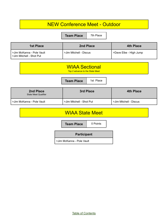**Team Place** 7th Place

| <b>1st Place</b>                                         | 2nd Place              | <b>4th Place</b>       |
|----------------------------------------------------------|------------------------|------------------------|
| I >Jim McKanna - Pole Vault<br>Solim Mitchell - Shot Put | >Jim Mitchell - Discus | >Dave Elbe - High Jump |

| <b>WIAA Sectional</b>           |  |
|---------------------------------|--|
| Top 2 advance to the State Meet |  |

| 2nd Place<br>State Meet Qualifier | 3rd Place                | <b>4th Place</b>       |
|-----------------------------------|--------------------------|------------------------|
| >Jim McKanna - Pole Vault         | >Jim Mitchell - Shot Put | >Jim Mitchell - Discus |

**Team Place** | 1st Place

# WIAA State Meet

**Team Place** | 0 Points

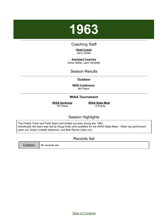<span id="page-15-0"></span>

## Coaching Staff

**Head Coach** Jerry Dufek

**Assistant Coaches** Gene Heller, Jack Verdette

Season Results

## **Outdoor**

**NEW Conference** 9th Place

## **WIAA Tournament**

**WIAA Sectional** 7th Place

**WIAA State Meet** 0 Points

# Season Highlights

The Preble Track and Field Team had limited success during the 1963. Individually the team was led by Doug Drafz who qualified for the WIAA State Meet. Other top performers were Jon Graan (middle distance), and Bob Rymer (mile run),

# Records Set

Outdoor  $\parallel$  No records set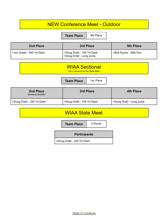**Team Place** 9th Place

| 2nd Place                  | 3rd Place                                            | <b>5th Place</b>      |
|----------------------------|------------------------------------------------------|-----------------------|
| l >Jon Graan - 440 Yd Dash | >Doug Drafz - 100 Yd Dash<br>>Doug Drafz - Long Jump | >Bob Rymer - Mile Run |

|  |  | <b>WIAA Sectional</b><br>Top 2 advance to the State Meet |  |
|--|--|----------------------------------------------------------|--|
|--|--|----------------------------------------------------------|--|

| 2nd Place<br><b>Sectional Qualifier</b> | 3rd Place                 | 4th Place               |
|-----------------------------------------|---------------------------|-------------------------|
| >Doug Drafz - 220 Yd Dash               | >Doug Drafz - 100 Yd Dash | >Doug Drafz - Long Jump |

**Team Place** | 1st Place

# WIAA State Meet

**Team Place** | 0 Points

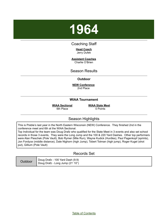## <span id="page-17-0"></span>Coaching Staff

#### **Head Coach** Jerry Dufek

**Assistant Coaches** Charlie O'Brien

Season Results

## **Outdoor**

**NEW Conference** 2nd Place

### **WIAA Tournament**

**WIAA Sectional** 6th Place

**WIAA State Meet** 0 Points

# Season Highlights

This is Preble's last year in the North Eastern Wisconsin (NEW) Conference. They finished 2nd in the conference meet and 6th at the WIAA Sectional.

Top Individual for the team was Doug Drafz who qualified for the State Meet in 3 events and also set school records in those 3 events, They were the Long Jump and the 100 & 220 Yard Dashes. Other top performers were Alan Pieschek (Pole Vault), Bob Rymer (Mile Run), Wayne Kudick (Hurdles), Paul Pagenkopf (sprints), Jon Fordyce (middle distance), Dale Nighorn (high Jump), Tobert Totman (high jump), Roger Kugel (shot put), Gillium (Pole Vault)

# Records Set

| <b>Outdoor</b> | Doug Drafz - 100 Yard Dash (9.9) |
|----------------|----------------------------------|
|                | Doug Drafz - Long Jump (21' 10") |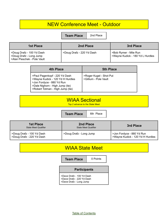**Team Place** 2nd Place

| <b>1st Place</b>                                                                    | 2nd Place                 | 3rd Place                                                 |
|-------------------------------------------------------------------------------------|---------------------------|-----------------------------------------------------------|
| >Doug Drafz - 100 Yd Dash<br>>Doug Drafz - Long Jump<br>>Alan Pieschek - Pole Vault | >Doug Drafz - 220 Yd Dash | >Bob Rymer - Mile Run<br>>Wayne Kudick - 180 Yd L Hurdles |

| 4th Place                                                                                                                                                             | <b>5th Place</b>                                 |
|-----------------------------------------------------------------------------------------------------------------------------------------------------------------------|--------------------------------------------------|
| >Paul Pagenkopf - 220 Yd Dash<br>>Wayne Kudick - 120 Yd H Hurdles<br>>Jon Fordyce - 880 Yd Run<br>>Dale Nighorn - High Jump (tie)<br>>Robert Totman - High Jump (tie) | >Roger Kugel - Shot Put<br>>Gillium - Pole Vault |

| <b>WIAA Sectional</b><br>Top 2 advance to the State Meet |                   |           |  |
|----------------------------------------------------------|-------------------|-----------|--|
|                                                          |                   |           |  |
|                                                          | <b>Team Place</b> | 6th Place |  |

| <b>1st Place</b><br>State Meet Qualifier               | 2nd Place<br><b>State Meet Qualifier</b> | 3rd Place                                                     |
|--------------------------------------------------------|------------------------------------------|---------------------------------------------------------------|
| >Doug Drafz - 100 Yd Dash<br>>Doug Drafz - 220 Yd Dash | >Doug Drafz - Long Jump                  | >Jon Fordyce - 880 Yd Run<br>>Wayne Kudick - 120 Yd H Hurdles |

**Team Place** | 0 Points

## **Participants**

- >Dave Drafz 100 Yd Dash >Dave Drafz - 220 Yd Dash
- >Dave Drafz Long Jump

WIAA State Meet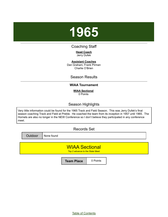<span id="page-19-0"></span>

# Coaching Staff

**Head Coach** Jerry Dufek

**Assistant Coaches** Dan Graham, Frank Pirman Charlie O'Brien

# Season Results

## **WIAA Tournament**

**WIAA Sectional** 0 Points

# Season Highlights

Very little information could be found for the 1965 Track and Field Season. This was Jerry Dufek's final season coaching Track and Field at Preble. He coached the team from its inception in 1957 until 1965. The Hornets are also no longer in the NEW Conference so I don't believe they participated in any conference meet.

Records Set

Outdoor | None found

WIAA Sectional

Top 2 advance to the State Meet

**Team Place** | 0 Points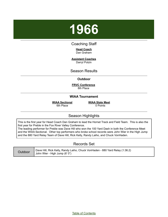## <span id="page-20-0"></span>Coaching Staff

#### **Head Coach** Dan Graham

**Assistant Coaches** Darryl Polzin

Season Results

**Outdoor**

**FRVC Conference** 8th Place

### **WIAA Tournament**

**WIAA Sectional** 6th Place

**WIAA State Meet** 0 Points

# Season Highlights

This is the first year for Head Coach Dan Graham to lead the Hornet Track and Field Team. This is also the first year for Preble in the Fox River Valley Conference.

The leading performer for Preble was Dave Hill who won the 100 Yard Dash in both the Conference Meet and the WIAA Sectional. Other top performers who broke school records were John Wier in the High Jump and the 880 Yard Relay Team of Dave Hill, Rick Kelly, Randy Laiho, and Chuck VonHaden.

# Records Set

| Outdoor | Dave Hill, Rick Kelly, Randy Laiho, Chuck VonHaden - 880 Yard Relay (1:36.2)<br>John Wier - High Jump (6' 0") |
|---------|---------------------------------------------------------------------------------------------------------------|
|---------|---------------------------------------------------------------------------------------------------------------|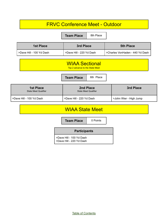| <b>FRVC Conference Meet - Outdoor</b>                    |                                          |                                 |  |
|----------------------------------------------------------|------------------------------------------|---------------------------------|--|
|                                                          | 8th Place<br><b>Team Place</b>           |                                 |  |
| <b>1st Place</b>                                         | <b>3rd Place</b>                         | <b>5th Place</b>                |  |
| >Dave Hill - 100 Yd Dash                                 | >Dave Hill - 220 Yd Dash                 | >Charles VonHaden - 440 Yd Dash |  |
| <b>WIAA Sectional</b><br>Top 2 advance to the State Meet |                                          |                                 |  |
|                                                          | 6th Place<br><b>Team Place</b>           |                                 |  |
| <b>1st Place</b><br><b>State Meet Qualifier</b>          | 2nd Place<br><b>State Meet Qualifier</b> | <b>3rd Place</b>                |  |
| >Dave Hill - 100 Yd Dash                                 | >Dave Hill - 220 Yd Dash                 | >John Wier - High Jump          |  |
| <b>WIAA State Meet</b>                                   |                                          |                                 |  |
|                                                          |                                          |                                 |  |

| <b>Participants</b>                                  |
|------------------------------------------------------|
| >Dave Hill - 100 Yd Dash<br>>Dave Hill - 220 Yd Dash |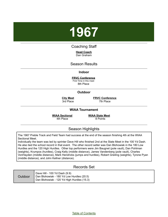<span id="page-22-0"></span>

# Coaching Staff

**Head Coach** Dan Graham

## Season Results

#### **Indoor**

**FRVC Conference** First Time in this meet

8th Place

### **Outdoor**

**City Meet** 3rd Place

**FRVC Conference** 7th Place

#### **WIAA Tournament**

**WIAA Sectional**

4th Place

**WIAA State Meet** 8 Points

# Season Highlights

The 1967 Preble Track and Field Team had success at the end of the season finishing 4th at the WIAA Sectional Meet.

Individually the team was led by sprinter Dave Hill who finished 2nd at the State Meet in the 100 Yd Dash. He also tied the school record in that event. The other record setter was Dan Blohowiak in the 180 Low Hurdles and the 120 High Hurdles. Other top performers were Jim Baugnet (pole vault), Dan Pohlman (weights), Krumpos (hurdles), Craig Kelly (middle distance), James Vandenberg (pole vault), Charles VonHayden (middle distance), Mark Hendricks (jumps and hurdles), Robert Greiling (weights), Tyrone Pyan (middle distance), and John Kellner (distance).

## Records Set

| Outdoor | Dave Hill - 100 Yd Dash (9.9)<br>Dan Blohowiak - 180 Yd Low Hurdles (20.5)<br>Dan Blohowiak - 120 Yd High Hurdles (15.3) |
|---------|--------------------------------------------------------------------------------------------------------------------------|
|---------|--------------------------------------------------------------------------------------------------------------------------|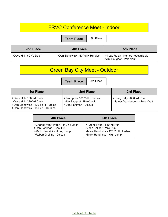# FRVC Conference Meet - Indoor

**Team Place** 8th Place

| 2nd Place                 | <b>4th Place</b>                 | <b>5th Place</b>                                                               |
|---------------------------|----------------------------------|--------------------------------------------------------------------------------|
| ⊧ >Dave Hill - 60 Yd Dash | >Dan Blohowiak - 60 Yd H Hurdles | I >4 Lap Relay - Names not available<br><sup>1</sup> >Jim Baugnet - Pole Vault |

# Green Bay City Meet - Outdoor

**Team Place** 3rd Place

| <b>1st Place</b>                                                                                                               | 2nd Place                                                                         | 3rd Place                                                   |
|--------------------------------------------------------------------------------------------------------------------------------|-----------------------------------------------------------------------------------|-------------------------------------------------------------|
| >Dave Hill - 100 Yd Dash<br>>Dave Hill - 220 Yd Dash<br>>Dan Blohowiak - 120 Yd H Hurdles<br>>Dan Blohowiak - 180 Yd L Hurdles | >Krumpos - 180 Yd L Hurdles<br>>Jim Baugnet - Pole Vault<br>>Dan Pohlman - Discus | >Craig Kelly - 880 Yd Run<br>>James Vandenberg - Pole Vault |

| <b>4th Place</b>                 | <b>5th Place</b>                   |
|----------------------------------|------------------------------------|
| >Charles VonHayden - 440 Yd Dash | >Tyrone Pyan - 880 Yd Run          |
| >Dan Pohlman - Shot Put          | >John Kellner - Mile Run           |
| >Mark Hendricks - Long Jump      | >Mark Hendricks - 120 Yd H Hurdles |
| >Robert Greiling - Discus        | >Mark Hendricks - High Jump        |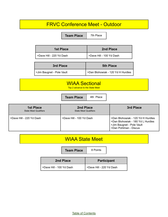| <b>Team Place</b>         | 7th Place                         |
|---------------------------|-----------------------------------|
| <b>1st Place</b>          | 2nd Place                         |
| >Dave Hill - 220 Yd Dash  | >Dave Hill - 100 Yd Dash          |
| 3rd Place                 | <b>5th Place</b>                  |
| >Jim Baugnet - Pole Vault | >Dan Blohowiak - 120 Yd H Hurdles |

| <b>Team Place</b> |
|-------------------|

**Team Place** 4th Place

| <b>1st Place</b><br><b>State Meet Qualifiers</b> | 2nd Place<br><b>State Meet Qualifiers</b> | 3rd Place                                                                                                                    |
|--------------------------------------------------|-------------------------------------------|------------------------------------------------------------------------------------------------------------------------------|
| >Dave Hill - 220 Yd Dash                         | >Dave Hill - 100 Yd Dash                  | >Dan Blohowiak - 120 Yd H Hurdles<br>>Dan Blohowiak - 180 Yd L Hurdles<br>>Jim Baugnet - Pole Vault<br>>Dan Pohlman - Discus |

# WIAA State Meet

**Team Place** 8 Points

| 2nd Place                | <b>Participant</b>       |
|--------------------------|--------------------------|
| >Dave Hill - 100 Yd Dash | >Dave Hill - 220 Yd Dash |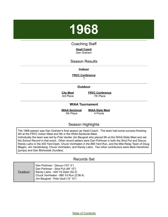## <span id="page-25-0"></span>Coaching Staff

#### **Head Coach** Dan Graham

# Season Results

**Indoor**

#### **FRVC Conference**

?

#### **Outdoor**

**City Meet** 3rd Place

**FRVC Conference** 7th Place

#### **WIAA Tournament**

**WIAA Sectional** 5th Place

**WIAA State Meet** 4 Points

## Season Highlights

The 1968 season saw Dan Graham's final season as Head Coach. The team had some success finishing 4th at the FRVC Indoor Meet and 5th in the WIAA Sectional Meet.

Individually the team was led by Pole Vaulter Jim Baugnet who placed 5th at the WIAA State Meet and set the School Record in that event. Other record setters were Dan Pohlman in both the Shot Put and Discus, Randy Laiho in the 440 Yard Dash, Chuck VonHaden in the 880 Yard Run, and the Mile Relay Team of Doug Blegen, Jim Vandenberg, Chuck VonHaden, and Randy Laiho. Two other contributors were Mark Hendricks (jumps) and Dan Blohowiak (hurdles).

## Records Set

| Outdoor | Dan Pohlman - Discus (157' 4")<br>Dan Pohlman - Shot Put (48' 10")<br>  Randy Laiho - 440 Yd Dash (52.2)<br>Chuck VonHaden - 880 Yd Run (2:06.4)<br>Jim Baugnet - Pole Vault (12' 10") |
|---------|----------------------------------------------------------------------------------------------------------------------------------------------------------------------------------------|
|---------|----------------------------------------------------------------------------------------------------------------------------------------------------------------------------------------|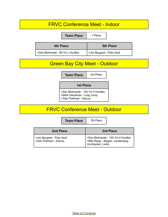# FRVC Conference Meet - Indoor

**Team Place** | ? Place **4th Place 5th Place** >Dan Blohowiak - 60 Yd L Hurdles | >Jim Baugnet - Pole Vault

# Green Bay City Meet - Outdoor

**Team Place** | 3rd Place

#### **1st Place**

>Dan Blohowiak - 120 Yd H Hurdles >Mark Hendricks - Long Jump >'Dan Pohlman - Discus

# FRVC Conference Meet - Outdoor

**Team Place** 7th Place

| 2nd Place                                          | 3rd Place                                                                                  |
|----------------------------------------------------|--------------------------------------------------------------------------------------------|
| >Jim Baugnet - Pole Vault<br>>Dan Pohlman - Discus | >Dan Blohowiak - 120 Yd H Hurdles<br>>Mile Relay - Blegen, vandenberg,<br>VonHayden, Laiho |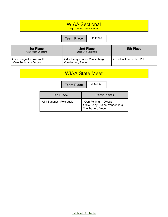| <b>WIAA Sectional</b><br>Top 2 advance to State Meet |           |  |
|------------------------------------------------------|-----------|--|
| <b>Team Place</b>                                    | 5th Place |  |

| 1st Place<br><b>State Meet Qualifiers</b>            | 2nd Place<br><b>State Meet Qualifiers</b>             | <b>5th Place</b>        |
|------------------------------------------------------|-------------------------------------------------------|-------------------------|
| SJim Baugnet - Pole Vault<br>l >Dan Pohlman - Discus | >Mile Relay - Laiho, Vandenberg,<br>VonHayden, Blegen | >Dan Pohlman - Shot Put |

# WIAA State Meet

**Team Place** 4 Points

| <b>5th Place</b>          | <b>Participants</b>                                                            |
|---------------------------|--------------------------------------------------------------------------------|
| >Jim Baugnet - Pole Vault | >Dan Pohlman - Discus<br>>Mile Relay - Laiho, Vandenberg,<br>VonHayden, Blegen |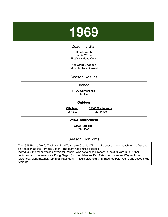# <span id="page-28-0"></span>Coaching Staff

**Head Coach** Charlie O'Brien

(First Year Head Coach

**Assistant Coaches**

Ed Koch, Jack Drankoff

## Season Results

#### **Indoor**

**FRVC Conference** 8th Place

**Outdoor**

**City Meet** 1st Place

**FRVC Conference** 12th Place

#### **WIAA Tournament**

**WIAA Regional**

7th Place

# Season Highlights

The 1969 Preble Men's Track and Field Team saw Charlie O'Brien take over as head coach for his first and only season as the Hornet's Coach. The team had limited success. Individually the team was led by Walter Peppler who set a school record in the 880 Yard Run. Other contributors to the team were Doug Blegen (middle distance), Ken Peterson (distance), Wayne Rymer (distance), Mark Blozinski (sprints), Paul Martin (middle distance), Jim Baugnet (pole Vault), and Joseph Fay (weights).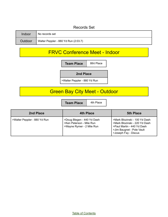# Records Set

| Indoor  | No records set                       |
|---------|--------------------------------------|
| Outdoor | Walter Peppler - 880 Yd Run (2:03.7) |

# FRVC Conference Meet - Indoor



# **Green Bay City Meet - Outdoor**

**Team Place** 4th Place

| 2nd Place                    | <b>4th Place</b>                                                                    | <b>5th Place</b>                                                                                                                                  |
|------------------------------|-------------------------------------------------------------------------------------|---------------------------------------------------------------------------------------------------------------------------------------------------|
| >Walter Peppler - 880 Yd Run | >Doug Blegen - 440 Yd Dash<br>>Ken Peterson - Mile Run<br>>Wayne Rymer - 2 Mile Run | >Mark Blozinski - 100 Yd Dash<br>>Mark Blozinski - 220 Yd Dash<br>>Paul Martin - 440 Yd Dash<br>>Jim Baugnet - Pole Vault<br>>Joseph Fay - Discus |